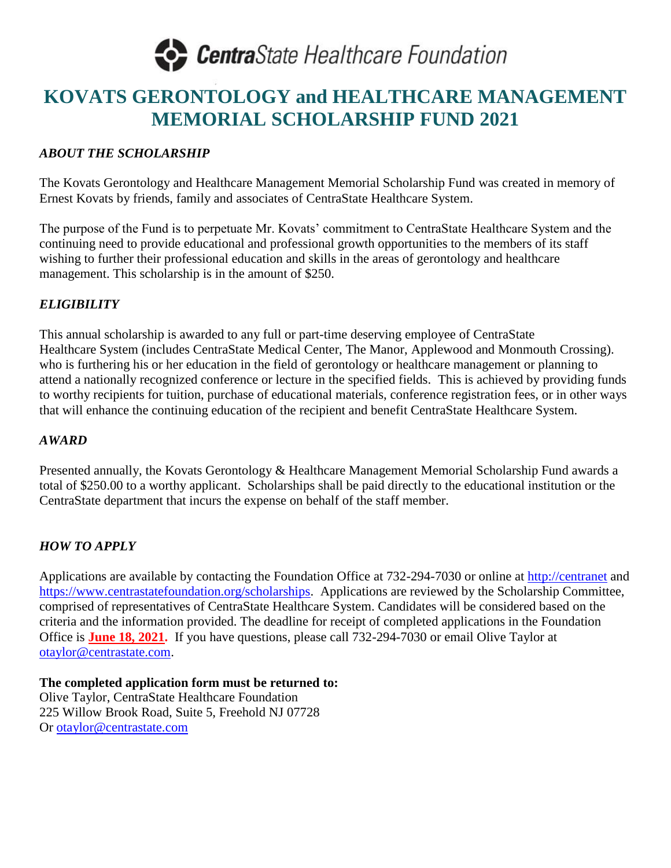

### **KOVATS GERONTOLOGY and HEALTHCARE MANAGEMENT MEMORIAL SCHOLARSHIP FUND 2021**

#### *ABOUT THE SCHOLARSHIP*

The Kovats Gerontology and Healthcare Management Memorial Scholarship Fund was created in memory of Ernest Kovats by friends, family and associates of CentraState Healthcare System.

The purpose of the Fund is to perpetuate Mr. Kovats' commitment to CentraState Healthcare System and the continuing need to provide educational and professional growth opportunities to the members of its staff wishing to further their professional education and skills in the areas of gerontology and healthcare management. This scholarship is in the amount of \$250.

#### *ELIGIBILITY*

This annual scholarship is awarded to any full or part-time deserving employee of CentraState Healthcare System (includes CentraState Medical Center, The Manor, Applewood and Monmouth Crossing). who is furthering his or her education in the field of gerontology or healthcare management or planning to attend a nationally recognized conference or lecture in the specified fields. This is achieved by providing funds to worthy recipients for tuition, purchase of educational materials, conference registration fees, or in other ways that will enhance the continuing education of the recipient and benefit CentraState Healthcare System.

#### *AWARD*

Presented annually, the Kovats Gerontology & Healthcare Management Memorial Scholarship Fund awards a total of \$250.00 to a worthy applicant. Scholarships shall be paid directly to the educational institution or the CentraState department that incurs the expense on behalf of the staff member.

#### *HOW TO APPLY*

Applications are available by contacting the Foundation Office at 732-294-7030 or online at [http://centranet](http://centranet/) and [https://www.centrastatefoundation.org/scholarships.](https://www.centrastatefoundation.org/scholarships) Applications are reviewed by the Scholarship Committee, comprised of representatives of CentraState Healthcare System. Candidates will be considered based on the criteria and the information provided. The deadline for receipt of completed applications in the Foundation Office is **June 18, 2021.** If you have questions, please call 732-294-7030 or email Olive Taylor at [otaylor@centrastate.com.](mailto:otaylor@centrastate.com)

**The completed application form must be returned to:**  Olive Taylor, CentraState Healthcare Foundation 225 Willow Brook Road, Suite 5, Freehold NJ 07728 Or [otaylor@centrastate.com](mailto:otaylor@centrastate.com)